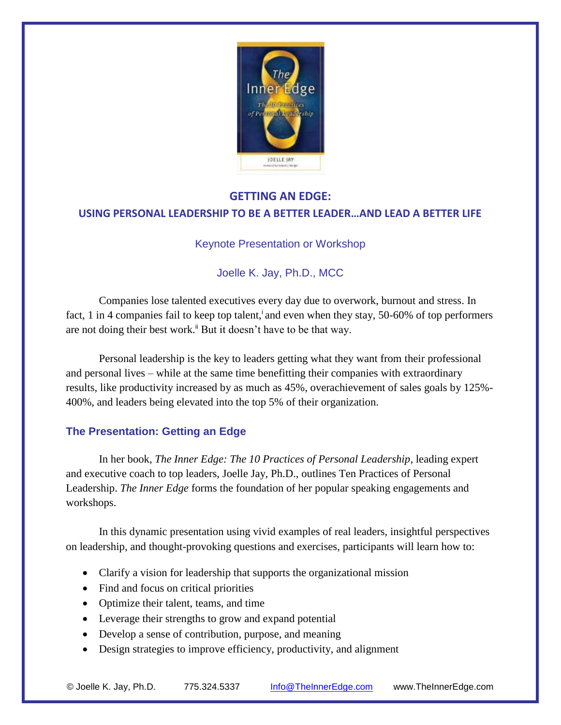

# **GETTING AN EDGE: USING PERSONAL LEADERSHIP TO BE A BETTER LEADER…AND LEAD A BETTER LIFE**

#### Keynote Presentation or Workshop

# Joelle K. Jay, Ph.D., MCC

Companies lose talented executives every day due to overwork, burnout and stress. In fact, 1 in 4 companies fail to keep top talent, and even when they stay, 50-60% of top performers are not doing their best work.<sup> $\ddot{h}$ </sup> But it doesn't have to be that way.

Personal leadership is the key to leaders getting what they want from their professional and personal lives – while at the same time benefitting their companies with extraordinary results, like productivity increased by as much as 45%, overachievement of sales goals by 125%- 400%, and leaders being elevated into the top 5% of their organization.

## **The Presentation: Getting an Edge**

In her book, *The Inner Edge: The 10 Practices of Personal Leadership*, leading expert and executive coach to top leaders, Joelle Jay, Ph.D., outlines Ten Practices of Personal Leadership. *The Inner Edge* forms the foundation of her popular speaking engagements and workshops.

In this dynamic presentation using vivid examples of real leaders, insightful perspectives on leadership, and thought-provoking questions and exercises, participants will learn how to:

- Clarify a vision for leadership that supports the organizational mission
- Find and focus on critical priorities
- Optimize their talent, teams, and time
- Leverage their strengths to grow and expand potential
- Develop a sense of contribution, purpose, and meaning
- Design strategies to improve efficiency, productivity, and alignment